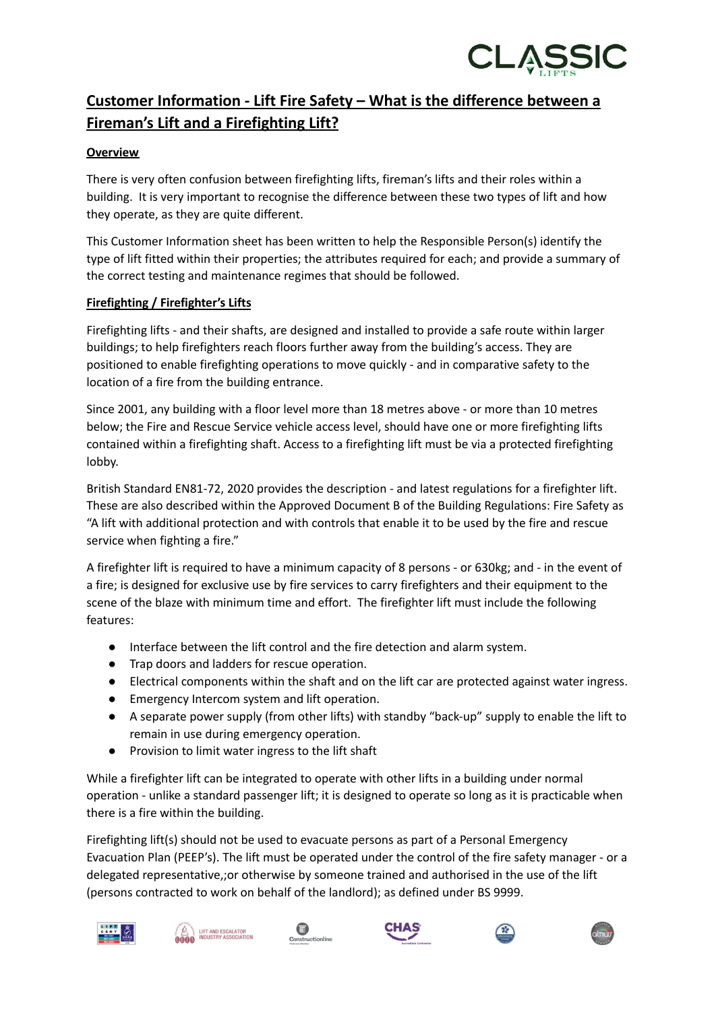

## **Customer Information - Lift Fire Safety – What is the difference between a Fireman's Lift and a Firefighting Lift?**

## **Overview**

There is very often confusion between firefighting lifts, fireman's lifts and their roles within a building. It is very important to recognise the difference between these two types of lift and how they operate, as they are quite different.

This Customer Information sheet has been written to help the Responsible Person(s) identify the type of lift fitted within their properties; the attributes required for each; and provide a summary of the correct testing and maintenance regimes that should be followed.

## **Firefighting / Firefighter's Lifts**

Firefighting lifts - and their shafts, are designed and installed to provide a safe route within larger buildings; to help firefighters reach floors further away from the building's access. They are positioned to enable firefighting operations to move quickly - and in comparative safety to the location of a fire from the building entrance.

Since 2001, any building with a floor level more than 18 metres above - or more than 10 metres below; the Fire and Rescue Service vehicle access level, should have one or more firefighting lifts contained within a firefighting shaft. Access to a firefighting lift must be via a protected firefighting lobby.

British Standard EN81-72, 2020 provides the description - and latest regulations for a firefighter lift. These are also described within the Approved Document B of the Building Regulations: Fire Safety as "A lift with additional protection and with controls that enable it to be used by the fire and rescue service when fighting a fire."

A firefighter lift is required to have a minimum capacity of 8 persons - or 630kg; and - in the event of a fire; is designed for exclusive use by fire services to carry firefighters and their equipment to the scene of the blaze with minimum time and effort. The firefighter lift must include the following features:

- Interface between the lift control and the fire detection and alarm system.
- Trap doors and ladders for rescue operation.
- Electrical components within the shaft and on the lift car are protected against water ingress.
- Emergency Intercom system and lift operation.
- A separate power supply (from other lifts) with standby "back-up" supply to enable the lift to remain in use during emergency operation.
- Provision to limit water ingress to the lift shaft

While a firefighter lift can be integrated to operate with other lifts in a building under normal operation - unlike a standard passenger lift; it is designed to operate so long as it is practicable when there is a fire within the building.

Firefighting lift(s) should not be used to evacuate persons as part of a Personal Emergency Evacuation Plan (PEEP's). The lift must be operated under the control of the fire safety manager - or a delegated representative,;or otherwise by someone trained and authorised in the use of the lift (persons contracted to work on behalf of the landlord); as defined under BS 9999.











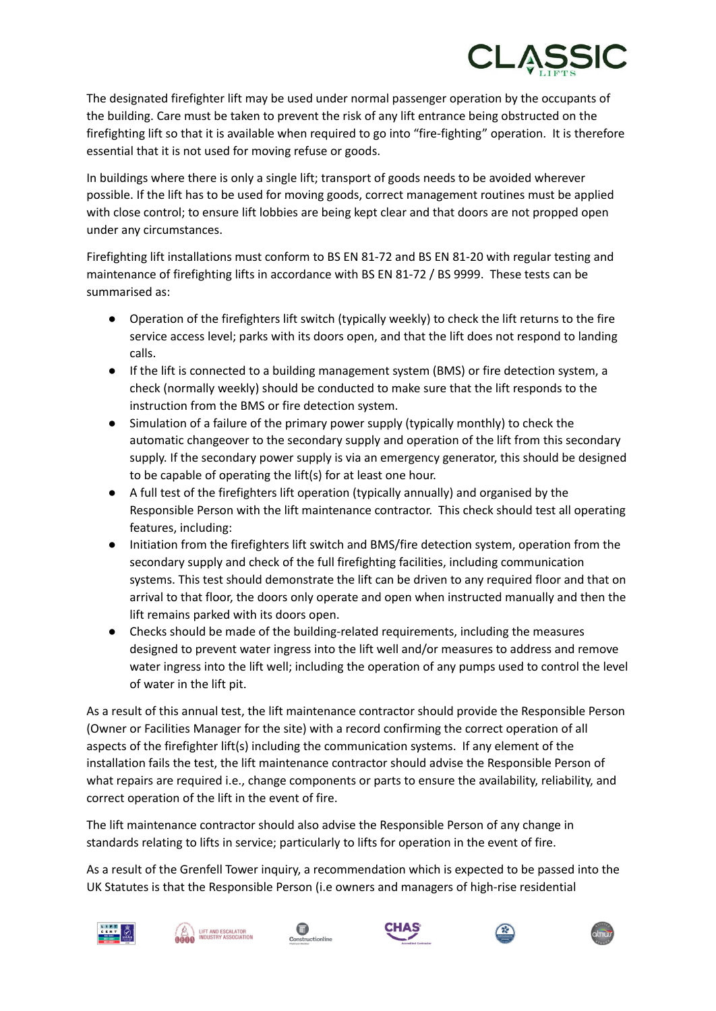

The designated firefighter lift may be used under normal passenger operation by the occupants of the building. Care must be taken to prevent the risk of any lift entrance being obstructed on the firefighting lift so that it is available when required to go into "fire-fighting" operation. It is therefore essential that it is not used for moving refuse or goods.

In buildings where there is only a single lift; transport of goods needs to be avoided wherever possible. If the lift has to be used for moving goods, correct management routines must be applied with close control; to ensure lift lobbies are being kept clear and that doors are not propped open under any circumstances.

Firefighting lift installations must conform to BS EN 81-72 and BS EN 81-20 with regular testing and maintenance of firefighting lifts in accordance with BS EN 81-72 / BS 9999. These tests can be summarised as:

- Operation of the firefighters lift switch (typically weekly) to check the lift returns to the fire service access level; parks with its doors open, and that the lift does not respond to landing calls.
- If the lift is connected to a building management system (BMS) or fire detection system, a check (normally weekly) should be conducted to make sure that the lift responds to the instruction from the BMS or fire detection system.
- Simulation of a failure of the primary power supply (typically monthly) to check the automatic changeover to the secondary supply and operation of the lift from this secondary supply. If the secondary power supply is via an emergency generator, this should be designed to be capable of operating the lift(s) for at least one hour.
- A full test of the firefighters lift operation (typically annually) and organised by the Responsible Person with the lift maintenance contractor. This check should test all operating features, including:
- Initiation from the firefighters lift switch and BMS/fire detection system, operation from the secondary supply and check of the full firefighting facilities, including communication systems. This test should demonstrate the lift can be driven to any required floor and that on arrival to that floor, the doors only operate and open when instructed manually and then the lift remains parked with its doors open.
- Checks should be made of the building-related requirements, including the measures designed to prevent water ingress into the lift well and/or measures to address and remove water ingress into the lift well; including the operation of any pumps used to control the level of water in the lift pit.

As a result of this annual test, the lift maintenance contractor should provide the Responsible Person (Owner or Facilities Manager for the site) with a record confirming the correct operation of all aspects of the firefighter lift(s) including the communication systems. If any element of the installation fails the test, the lift maintenance contractor should advise the Responsible Person of what repairs are required i.e., change components or parts to ensure the availability, reliability, and correct operation of the lift in the event of fire.

The lift maintenance contractor should also advise the Responsible Person of any change in standards relating to lifts in service; particularly to lifts for operation in the event of fire.

As a result of the Grenfell Tower inquiry, a recommendation which is expected to be passed into the UK Statutes is that the Responsible Person (i.e owners and managers of high-rise residential











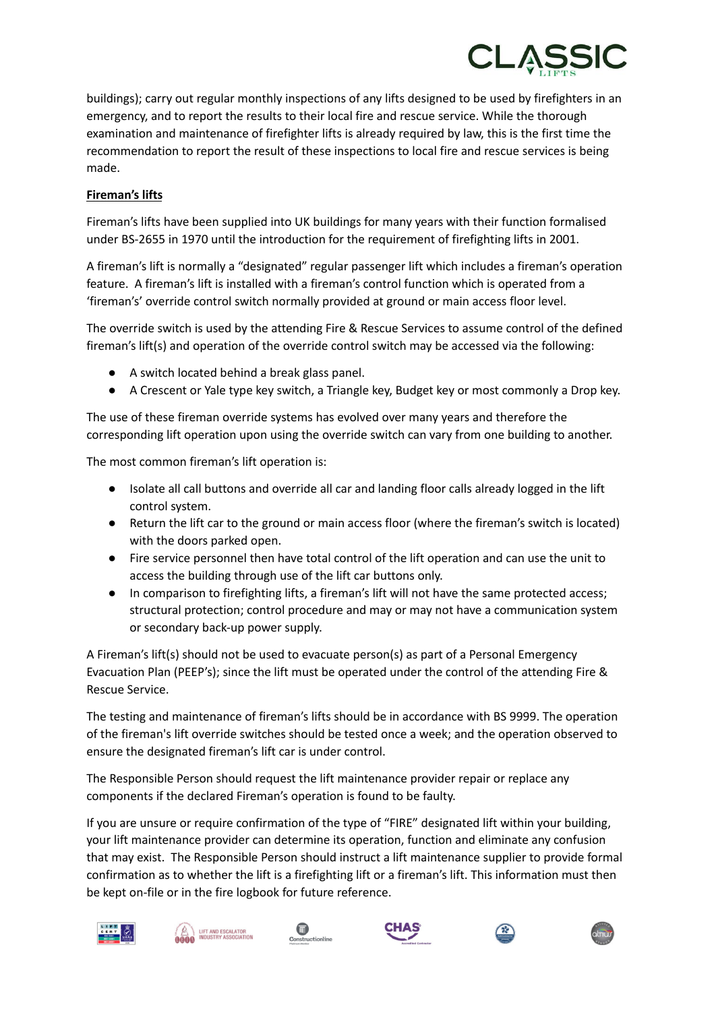

buildings); carry out regular monthly inspections of any lifts designed to be used by firefighters in an emergency, and to report the results to their local fire and rescue service. While the thorough examination and maintenance of firefighter lifts is already required by law, this is the first time the recommendation to report the result of these inspections to local fire and rescue services is being made.

## **Fireman's lifts**

Fireman's lifts have been supplied into UK buildings for many years with their function formalised under BS-2655 in 1970 until the introduction for the requirement of firefighting lifts in 2001.

A fireman's lift is normally a "designated" regular passenger lift which includes a fireman's operation feature. A fireman's lift is installed with a fireman's control function which is operated from a 'fireman's' override control switch normally provided at ground or main access floor level.

The override switch is used by the attending Fire & Rescue Services to assume control of the defined fireman's lift(s) and operation of the override control switch may be accessed via the following:

- A switch located behind a break glass panel.
- A Crescent or Yale type key switch, a Triangle key, Budget key or most commonly a Drop key.

The use of these fireman override systems has evolved over many years and therefore the corresponding lift operation upon using the override switch can vary from one building to another.

The most common fireman's lift operation is:

- Isolate all call buttons and override all car and landing floor calls already logged in the lift control system.
- Return the lift car to the ground or main access floor (where the fireman's switch is located) with the doors parked open.
- Fire service personnel then have total control of the lift operation and can use the unit to access the building through use of the lift car buttons only.
- In comparison to firefighting lifts, a fireman's lift will not have the same protected access; structural protection; control procedure and may or may not have a communication system or secondary back-up power supply.

A Fireman's lift(s) should not be used to evacuate person(s) as part of a Personal Emergency Evacuation Plan (PEEP's); since the lift must be operated under the control of the attending Fire & Rescue Service.

The testing and maintenance of fireman's lifts should be in accordance with BS 9999. The operation of the fireman's lift override switches should be tested once a week; and the operation observed to ensure the designated fireman's lift car is under control.

The Responsible Person should request the lift maintenance provider repair or replace any components if the declared Fireman's operation is found to be faulty.

If you are unsure or require confirmation of the type of "FIRE" designated lift within your building, your lift maintenance provider can determine its operation, function and eliminate any confusion that may exist. The Responsible Person should instruct a lift maintenance supplier to provide formal confirmation as to whether the lift is a firefighting lift or a fireman's lift. This information must then be kept on-file or in the fire logbook for future reference.